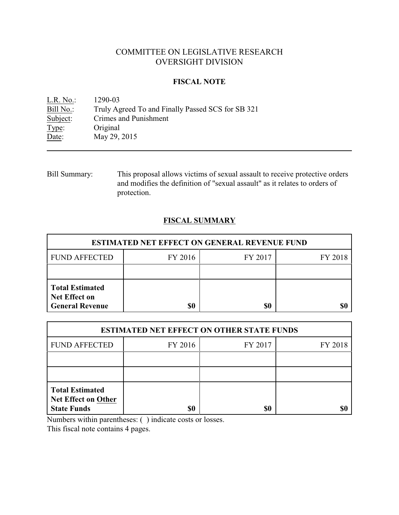# COMMITTEE ON LEGISLATIVE RESEARCH OVERSIGHT DIVISION

## **FISCAL NOTE**

<u>L.R. No.</u>: 1290-03<br>Bill No.: Truly Ag Bill No.: Truly Agreed To and Finally Passed SCS for SB 321<br>Subject: Crimes and Punishment Crimes and Punishment Type: Original Date: May 29, 2015

Bill Summary: This proposal allows victims of sexual assault to receive protective orders and modifies the definition of "sexual assault" as it relates to orders of protection.

## **FISCAL SUMMARY**

| <b>ESTIMATED NET EFFECT ON GENERAL REVENUE FUND</b>                      |         |         |         |  |
|--------------------------------------------------------------------------|---------|---------|---------|--|
| <b>FUND AFFECTED</b>                                                     | FY 2016 | FY 2017 | FY 2018 |  |
|                                                                          |         |         |         |  |
| <b>Total Estimated</b><br><b>Net Effect on</b><br><b>General Revenue</b> | \$0     | \$0     |         |  |

| <b>ESTIMATED NET EFFECT ON OTHER STATE FUNDS</b>                           |         |         |         |  |
|----------------------------------------------------------------------------|---------|---------|---------|--|
| <b>FUND AFFECTED</b>                                                       | FY 2016 | FY 2017 | FY 2018 |  |
|                                                                            |         |         |         |  |
|                                                                            |         |         |         |  |
| <b>Total Estimated</b><br><b>Net Effect on Other</b><br><b>State Funds</b> | \$0     | \$0     |         |  |

Numbers within parentheses: ( ) indicate costs or losses.

This fiscal note contains 4 pages.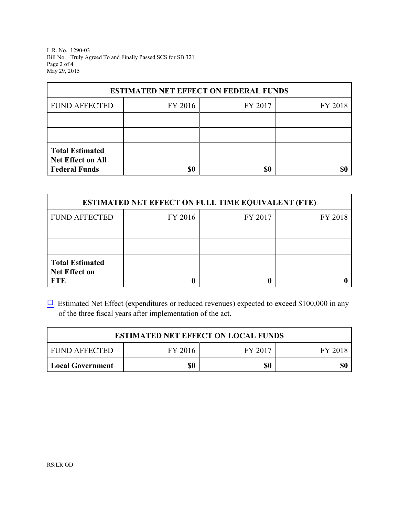L.R. No. 1290-03 Bill No. Truly Agreed To and Finally Passed SCS for SB 321 Page 2 of 4 May 29, 2015

| <b>ESTIMATED NET EFFECT ON FEDERAL FUNDS</b> |         |         |         |  |
|----------------------------------------------|---------|---------|---------|--|
| <b>FUND AFFECTED</b>                         | FY 2016 | FY 2017 | FY 2018 |  |
|                                              |         |         |         |  |
|                                              |         |         |         |  |
| <b>Total Estimated</b><br>Net Effect on All  |         |         |         |  |
| <b>Federal Funds</b>                         | \$0     | \$0     |         |  |

| <b>ESTIMATED NET EFFECT ON FULL TIME EQUIVALENT (FTE)</b>    |         |         |         |  |
|--------------------------------------------------------------|---------|---------|---------|--|
| <b>FUND AFFECTED</b>                                         | FY 2016 | FY 2017 | FY 2018 |  |
|                                                              |         |         |         |  |
|                                                              |         |         |         |  |
| <b>Total Estimated</b><br><b>Net Effect on</b><br><b>FTE</b> |         |         |         |  |

 $\Box$  Estimated Net Effect (expenditures or reduced revenues) expected to exceed \$100,000 in any of the three fiscal years after implementation of the act.

| <b>ESTIMATED NET EFFECT ON LOCAL FUNDS</b> |         |         |         |
|--------------------------------------------|---------|---------|---------|
| <b>FUND AFFECTED</b>                       | FY 2016 | FY 2017 | FY 2018 |
| <b>Local Government</b>                    | \$0     | \$0     | \$0     |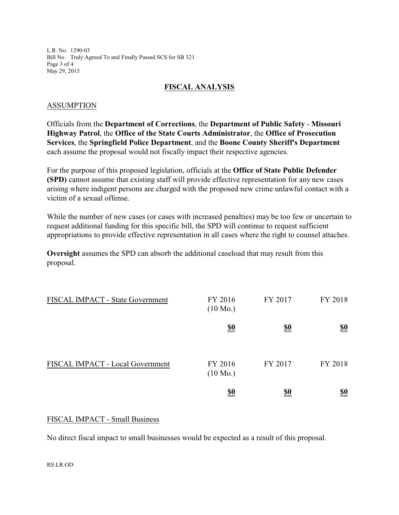L.R. No. 1290-03 Bill No. Truly Agreed To and Finally Passed SCS for SB 321 Page 3 of 4 May 29, 2015

## **FISCAL ANALYSIS**

#### ASSUMPTION

Officials from the **Department of Corrections**, the **Department of Public Safety** - **Missouri Highway Patrol**, the **Office of the State Courts Administrator**, the **Office of Prosecution Services**, the **Springfield Police Department**, and the **Boone County Sheriff's Department** each assume the proposal would not fiscally impact their respective agencies.

For the purpose of this proposed legislation, officials at the **Office of State Public Defender (SPD)** cannot assume that existing staff will provide effective representation for any new cases arising where indigent persons are charged with the proposed new crime unlawful contact with a victim of a sexual offense.

While the number of new cases (or cases with increased penalties) may be too few or uncertain to request additional funding for this specific bill, the SPD will continue to request sufficient appropriations to provide effective representation in all cases where the right to counsel attaches.

**Oversight** assumes the SPD can absorb the additional caseload that may result from this proposal.

| FISCAL IMPACT - State Government | FY 2016<br>$(10 \text{ Mo.})$ | FY 2017    | FY 2018                       |
|----------------------------------|-------------------------------|------------|-------------------------------|
|                                  | <u>\$0</u>                    | <u>\$0</u> | <u>\$0</u>                    |
| FISCAL IMPACT - Local Government | FY 2016<br>$(10 \text{ Mo.})$ | FY 2017    | FY 2018                       |
|                                  | <u>\$0</u>                    | <u>\$0</u> | $\underline{\underline{\$0}}$ |

### FISCAL IMPACT - Small Business

No direct fiscal impact to small businesses would be expected as a result of this proposal.